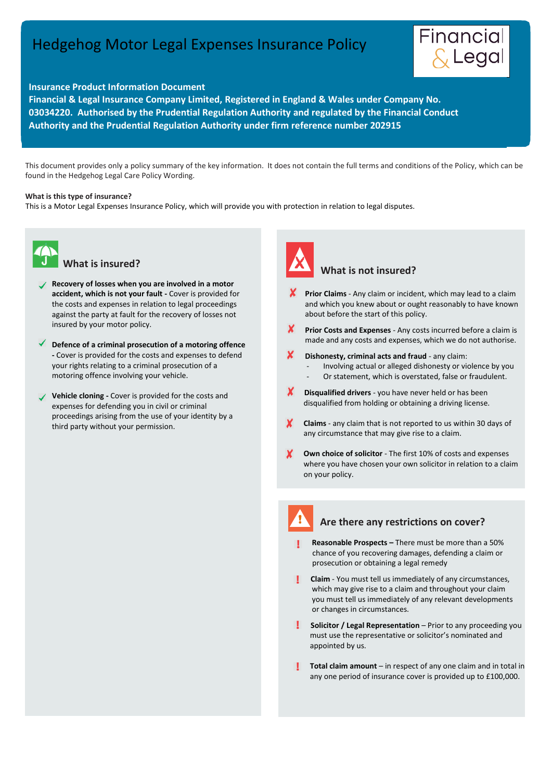# Hedgehog Motor Legal Expenses Insurance Policy



l

#### **Insurance Product Information Document**

**Financial & Legal Insurance Company Limited, Registered in England & Wales under Company No. 03034220. Authorised by the Prudential Regulation Authority and regulated by the Financial Conduct Authority and the Prudential Regulation Authority under firm reference number 202915**

 This document provides only a policy summary of the key information. It does not contain the full terms and conditions of the Policy, which can be found in the Hedgehog Legal Care Policy Wording.

#### **What is this type of insurance?**

This is a Motor Legal Expenses Insurance Policy, which will provide you with protection in relation to legal disputes.



#### **What is insured?**

- **Recovery of losses when you are involved in a motor accident, which is not your fault -** Cover is provided for the costs and expenses in relation to legal proceedings against the party at fault for the recovery of losses not insured by your motor policy.
- **Defence of a criminal prosecution of a motoring offence -** Cover is provided for the costs and expenses to defend your rights relating to a criminal prosecution of a motoring offence involving your vehicle.
- **Vehicle cloning -** Cover is provided for the costs and expenses for defending you in civil or criminal proceedings arising from the use of your identity by a third party without your permission.



## **What is not insured?**

- **Prior Claims** Any claim or incident, which may lead to a claim and which you knew about or ought reasonably to have known about before the start of this policy.
- X. **Prior Costs and Expenses** - Any costs incurred before a claim is made and any costs and expenses, which we do not authorise.
- x **Dishonesty, criminal acts and fraud** - any claim:
	- Involving actual or alleged dishonesty or violence by you
	- Or statement, which is overstated, false or fraudulent.
- **X** Disqualified drivers you have never held or has been disqualified from holding or obtaining a driving license.
- **Claims** any claim that is not reported to us within 30 days of any circumstance that may give rise to a claim.
- **Own choice of solicitor** The first 10% of costs and expenses where you have chosen your own solicitor in relation to a claim on your policy.

# **!**

#### **Are there any restrictions on cover?**

- **Reasonable Prospects –** There must be more than a 50% chance of you recovering damages, defending a claim or prosecution or obtaining a legal remedy
- **Claim**  You must tell us immediately of any circumstances, which may give rise to a claim and throughout your claim you must tell us immediately of any relevant developments or changes in circumstances.
- **Solicitor / Legal Representation** Prior to any proceeding you must use the representative or solicitor's nominated and appointed by us.
- **Total claim amount** in respect of any one claim and in total in any one period of insurance cover is provided up to £100,000.